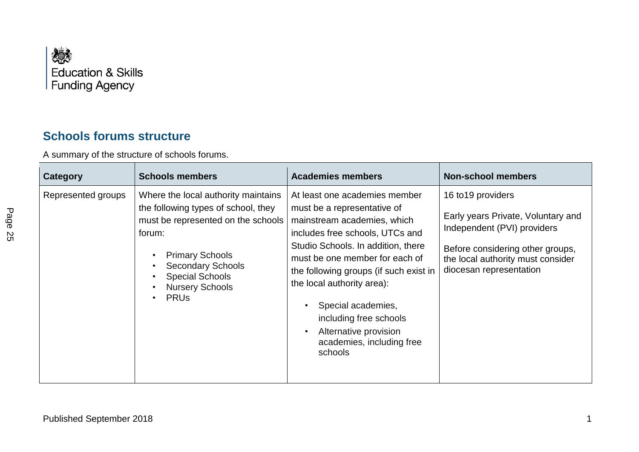

## **Schools forums structure**

A summary of the structure of schools forums.

| Category           | <b>Schools members</b>                                                                                                                                                                                                                                         | <b>Academies members</b>                                                                                                                                                                                                                                                                                                                                                                        | <b>Non-school members</b>                                                                                                                                                                   |
|--------------------|----------------------------------------------------------------------------------------------------------------------------------------------------------------------------------------------------------------------------------------------------------------|-------------------------------------------------------------------------------------------------------------------------------------------------------------------------------------------------------------------------------------------------------------------------------------------------------------------------------------------------------------------------------------------------|---------------------------------------------------------------------------------------------------------------------------------------------------------------------------------------------|
| Represented groups | Where the local authority maintains<br>the following types of school, they<br>must be represented on the schools<br>forum:<br><b>Primary Schools</b><br><b>Secondary Schools</b><br><b>Special Schools</b><br><b>Nursery Schools</b><br><b>PRU<sub>s</sub></b> | At least one academies member<br>must be a representative of<br>mainstream academies, which<br>includes free schools, UTCs and<br>Studio Schools. In addition, there<br>must be one member for each of<br>the following groups (if such exist in<br>the local authority area):<br>Special academies,<br>including free schools<br>Alternative provision<br>academies, including free<br>schools | 16 to 19 providers<br>Early years Private, Voluntary and<br>Independent (PVI) providers<br>Before considering other groups,<br>the local authority must consider<br>diocesan representation |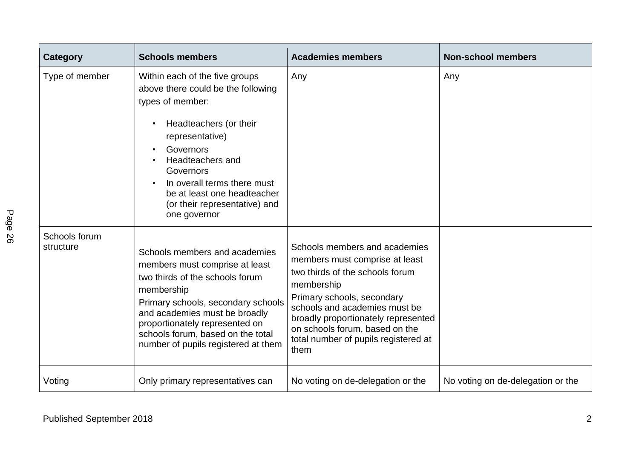| <b>Category</b>            | <b>Schools members</b>                                                                                                                                                                                                                                                                                | <b>Academies members</b>                                                                                                                                                                                                                                                                                 | <b>Non-school members</b>         |
|----------------------------|-------------------------------------------------------------------------------------------------------------------------------------------------------------------------------------------------------------------------------------------------------------------------------------------------------|----------------------------------------------------------------------------------------------------------------------------------------------------------------------------------------------------------------------------------------------------------------------------------------------------------|-----------------------------------|
| Type of member             | Within each of the five groups<br>above there could be the following<br>types of member:<br>Headteachers (or their<br>representative)<br>Governors<br>Headteachers and<br>Governors<br>In overall terms there must<br>be at least one headteacher<br>(or their representative) and<br>one governor    | Any                                                                                                                                                                                                                                                                                                      | Any                               |
| Schools forum<br>structure | Schools members and academies<br>members must comprise at least<br>two thirds of the schools forum<br>membership<br>Primary schools, secondary schools<br>and academies must be broadly<br>proportionately represented on<br>schools forum, based on the total<br>number of pupils registered at them | Schools members and academies<br>members must comprise at least<br>two thirds of the schools forum<br>membership<br>Primary schools, secondary<br>schools and academies must be<br>broadly proportionately represented<br>on schools forum, based on the<br>total number of pupils registered at<br>them |                                   |
| Voting                     | Only primary representatives can                                                                                                                                                                                                                                                                      | No voting on de-delegation or the                                                                                                                                                                                                                                                                        | No voting on de-delegation or the |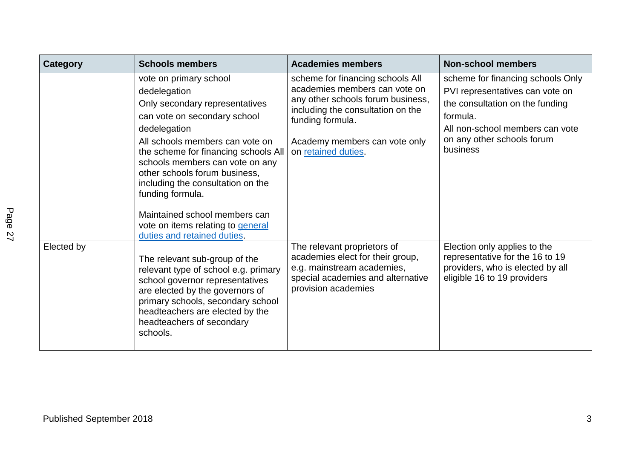| Category   | <b>Schools members</b>                                                                                                                                                                                                                                                                                                                                                                                                                | <b>Academies members</b>                                                                                                                                                                                                | <b>Non-school members</b>                                                                                                                                                                        |
|------------|---------------------------------------------------------------------------------------------------------------------------------------------------------------------------------------------------------------------------------------------------------------------------------------------------------------------------------------------------------------------------------------------------------------------------------------|-------------------------------------------------------------------------------------------------------------------------------------------------------------------------------------------------------------------------|--------------------------------------------------------------------------------------------------------------------------------------------------------------------------------------------------|
|            | vote on primary school<br>dedelegation<br>Only secondary representatives<br>can vote on secondary school<br>dedelegation<br>All schools members can vote on<br>the scheme for financing schools All<br>schools members can vote on any<br>other schools forum business,<br>including the consultation on the<br>funding formula.<br>Maintained school members can<br>vote on items relating to general<br>duties and retained duties. | scheme for financing schools All<br>academies members can vote on<br>any other schools forum business,<br>including the consultation on the<br>funding formula.<br>Academy members can vote only<br>on retained duties. | scheme for financing schools Only<br>PVI representatives can vote on<br>the consultation on the funding<br>formula.<br>All non-school members can vote<br>on any other schools forum<br>business |
| Elected by | The relevant sub-group of the<br>relevant type of school e.g. primary<br>school governor representatives<br>are elected by the governors of<br>primary schools, secondary school<br>headteachers are elected by the<br>headteachers of secondary<br>schools.                                                                                                                                                                          | The relevant proprietors of<br>academies elect for their group,<br>e.g. mainstream academies,<br>special academies and alternative<br>provision academies                                                               | Election only applies to the<br>representative for the 16 to 19<br>providers, who is elected by all<br>eligible 16 to 19 providers                                                               |